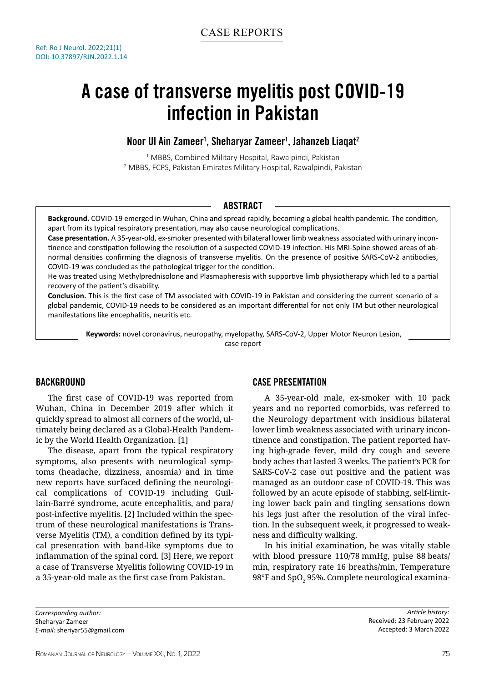# A case of transverse myelitis post COVID-19 infection in Pakistan

# Noor UI Ain Zameer<sup>1</sup>, Sheharyar Zameer<sup>1</sup>, Jahanzeb Liaqat<sup>2</sup>

<sup>1</sup> MBBS, Combined Military Hospital, Rawalpindi, Pakistan 2 MBBS, FCPS, Pakistan Emirates Military Hospital, Rawalpindi, Pakistan

## Abstract

**Background.** COVID-19 emerged in Wuhan, China and spread rapidly, becoming a global health pandemic. The condition, apart from its typical respiratory presentation, may also cause neurological complications.

**Case presentation.** A 35-year-old, ex-smoker presented with bilateral lower limb weakness associated with urinary incontinence and constipation following the resolution of a suspected COVID-19 infection. His MRI-Spine showed areas of abnormal densities confirming the diagnosis of transverse myelitis. On the presence of positive SARS-CoV-2 antibodies, COVID-19 was concluded as the pathological trigger for the condition.

He was treated using Methylprednisolone and Plasmapheresis with supportive limb physiotherapy which led to a partial recovery of the patient's disability.

**Conclusion.** This is the first case of TM associated with COVID-19 in Pakistan and considering the current scenario of a global pandemic, COVID-19 needs to be considered as an important differential for not only TM but other neurological manifestations like encephalitis, neuritis etc.

**Keywords:** novel coronavirus, neuropathy, myelopathy, SARS-CoV-2, Upper Motor Neuron Lesion, case report

### **BACKGROUND**

The first case of COVID-19 was reported from Wuhan, China in December 2019 after which it quickly spread to almost all corners of the world, ultimately being declared as a Global-Health Pandemic by the World Health Organization. [1]

The disease, apart from the typical respiratory symptoms, also presents with neurological symptoms (headache, dizziness, anosmia) and in time new reports have surfaced defining the neurological complications of COVID-19 including Guillain-Barré syndrome, acute encephalitis, and para/ post-infective myelitis. [2] Included within the spectrum of these neurological manifestations is Transverse Myelitis (TM), a condition defined by its typical presentation with band-like symptoms due to inflammation of the spinal cord. [3] Here, we report a case of Transverse Myelitis following COVID-19 in a 35-year-old male as the first case from Pakistan.

# Case Presentation

A 35-year-old male, ex-smoker with 10 pack years and no reported comorbids, was referred to the Neurology department with insidious bilateral lower limb weakness associated with urinary incontinence and constipation. The patient reported having high-grade fever, mild dry cough and severe body aches that lasted 3 weeks. The patient's PCR for SARS-CoV-2 case out positive and the patient was managed as an outdoor case of COVID-19. This was followed by an acute episode of stabbing, self-limiting lower back pain and tingling sensations down his legs just after the resolution of the viral infection. In the subsequent week, it progressed to weakness and difficulty walking.

In his initial examination, he was vitally stable with blood pressure 110/78 mmHg, pulse 88 beats/ min, respiratory rate 16 breaths/min, Temperature  $98^\circ$ F and SpO $_2$  95%. Complete neurological examina-

*Corresponding author:* Sheharyar Zameer *E-mail:* sheriyar55@gmail.com

*Article history:* Received: 23 February 2022 Accepted: 3 March 2022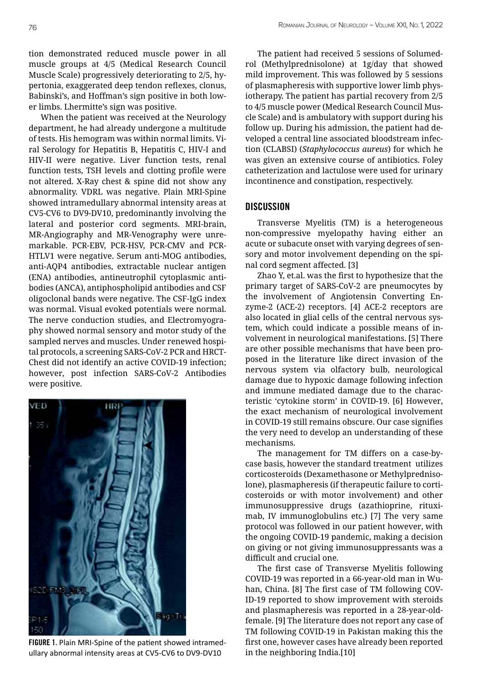tion demonstrated reduced muscle power in all muscle groups at 4/5 (Medical Research Council Muscle Scale) progressively deteriorating to 2/5, hypertonia, exaggerated deep tendon reflexes, clonus, Babinski's, and Hoffman's sign positive in both lower limbs. Lhermitte's sign was positive.

When the patient was received at the Neurology department, he had already undergone a multitude of tests. His hemogram was within normal limits. Viral Serology for Hepatitis B, Hepatitis C, HIV-I and HIV-II were negative. Liver function tests, renal function tests, TSH levels and clotting profile were not altered. X-Ray chest & spine did not show any abnormality. VDRL was negative. Plain MRI-Spine showed intramedullary abnormal intensity areas at CV5-CV6 to DV9-DV10, predominantly involving the lateral and posterior cord segments. MRI-brain, MR-Angiography and MR-Venography were unremarkable. PCR-EBV, PCR-HSV, PCR-CMV and PCR-HTLV1 were negative. Serum anti-MOG antibodies, anti-AQP4 antibodies, extractable nuclear antigen (ENA) antibodies, antineutrophil cytoplasmic antibodies (ANCA), antiphospholipid antibodies and CSF oligoclonal bands were negative. The CSF-IgG index was normal. Visual evoked potentials were normal. The nerve conduction studies, and Electromyography showed normal sensory and motor study of the sampled nerves and muscles. Under renewed hospital protocols, a screening SARS-CoV-2 PCR and HRCT-Chest did not identify an active COVID-19 infection; however, post infection SARS-CoV-2 Antibodies were positive.



FIGURE 1. Plain MRI-Spine of the patient showed intramedullary abnormal intensity areas at CV5-CV6 to DV9-DV10

The patient had received 5 sessions of Solumedrol (Methylprednisolone) at 1g/day that showed mild improvement. This was followed by 5 sessions of plasmapheresis with supportive lower limb physiotherapy. The patient has partial recovery from 2/5 to 4/5 muscle power (Medical Research Council Muscle Scale) and is ambulatory with support during his follow up. During his admission, the patient had developed a central line associated bloodstream infection (CLABSI) (*Staphylococcus aureus*) for which he was given an extensive course of antibiotics. Foley catheterization and lactulose were used for urinary incontinence and constipation, respectively.

#### **DISCUSSION**

Transverse Myelitis (TM) is a heterogeneous non-compressive myelopathy having either an acute or subacute onset with varying degrees of sensory and motor involvement depending on the spinal cord segment affected. [3]

Zhao Y, et.al. was the first to hypothesize that the primary target of SARS-CoV-2 are pneumocytes by the involvement of Angiotensin Converting Enzyme-2 (ACE-2) receptors. [4] ACE-2 receptors are also located in glial cells of the central nervous system, which could indicate a possible means of involvement in neurological manifestations. [5] There are other possible mechanisms that have been proposed in the literature like direct invasion of the nervous system via olfactory bulb, neurological damage due to hypoxic damage following infection and immune mediated damage due to the characteristic 'cytokine storm' in COVID-19. [6] However, the exact mechanism of neurological involvement in COVID-19 still remains obscure. Our case signifies the very need to develop an understanding of these mechanisms.

The management for TM differs on a case-bycase basis, however the standard treatment utilizes corticosteroids (Dexamethasone or Methylprednisolone), plasmapheresis (if therapeutic failure to corticosteroids or with motor involvement) and other immunosuppressive drugs (azathioprine, rituximab, IV immunoglobulins etc.) [7] The very same protocol was followed in our patient however, with the ongoing COVID-19 pandemic, making a decision on giving or not giving immunosuppressants was a difficult and crucial one.

The first case of Transverse Myelitis following COVID-19 was reported in a 66-year-old man in Wuhan, China. [8] The first case of TM following COV-ID-19 reported to show improvement with steroids and plasmapheresis was reported in a 28-year-oldfemale. [9] The literature does not report any case of TM following COVID-19 in Pakistan making this the first one, however cases have already been reported in the neighboring India.[10]